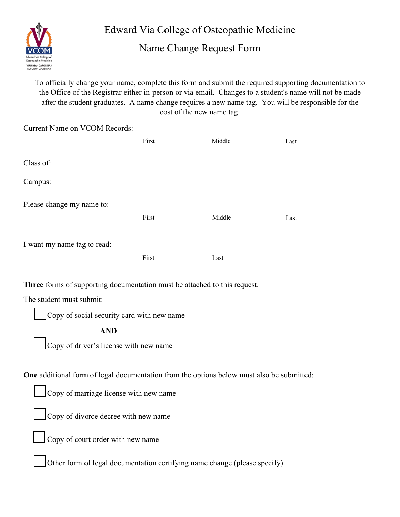

Edward Via College of Osteopathic Medicine

Name Change Request Form

To officially change your name, complete this form and submit the required supporting documentation to the Office of the Registrar either in-person or via email. Changes to a student's name will not be made after the student graduates. A name change requires a new name tag. You will be responsible for the cost of the new name tag.

| <b>Current Name on VCOM Records:</b>                                      |       |        |      |
|---------------------------------------------------------------------------|-------|--------|------|
|                                                                           | First | Middle | Last |
|                                                                           |       |        |      |
| Class of:                                                                 |       |        |      |
| Campus:                                                                   |       |        |      |
|                                                                           |       |        |      |
| Please change my name to:                                                 |       |        |      |
|                                                                           | First | Middle | Last |
| I want my name tag to read:                                               |       |        |      |
|                                                                           |       |        |      |
|                                                                           | First | Last   |      |
| Three forms of supporting documentation must be attached to this request. |       |        |      |
| The student must submit:<br>−                                             |       |        |      |

Copy of social security card with new name

 **AND** 

Copy of driver's license with new name

**One** additional form of legal documentation from the options below must also be submitted:

Copy of marriage license with new name

Copy of divorce decree with new name

Copy of court order with new name

Other form of legal documentation certifying name change (please specify)